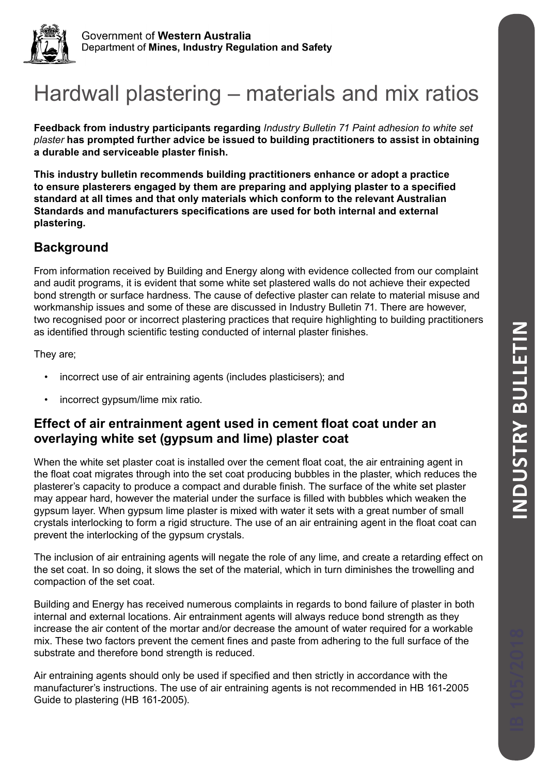

# Hardwall plastering – materials and mix ratios

**Feedback from industry participants regarding** *Industry Bulletin 71 Paint adhesion to white set plaster* **has prompted further advice be issued to building practitioners to assist in obtaining a durable and serviceable plaster finish.**

**This industry bulletin recommends building practitioners enhance or adopt a practice to ensure plasterers engaged by them are preparing and applying plaster to a specified standard at all times and that only materials which conform to the relevant Australian Standards and manufacturers specifications are used for both internal and external plastering.**

# **Background**

From information received by Building and Energy along with evidence collected from our complaint and audit programs, it is evident that some white set plastered walls do not achieve their expected bond strength or surface hardness. The cause of defective plaster can relate to material misuse and workmanship issues and some of these are discussed in Industry Bulletin 71. There are however, two recognised poor or incorrect plastering practices that require highlighting to building practitioners as identified through scientific testing conducted of internal plaster finishes.

They are;

- incorrect use of air entraining agents (includes plasticisers); and
- incorrect gypsum/lime mix ratio.

# **Effect of air entrainment agent used in cement float coat under an overlaying white set (gypsum and lime) plaster coat**

When the white set plaster coat is installed over the cement float coat, the air entraining agent in the float coat migrates through into the set coat producing bubbles in the plaster, which reduces the plasterer's capacity to produce a compact and durable finish. The surface of the white set plaster may appear hard, however the material under the surface is filled with bubbles which weaken the gypsum layer. When gypsum lime plaster is mixed with water it sets with a great number of small crystals interlocking to form a rigid structure. The use of an air entraining agent in the float coat can prevent the interlocking of the gypsum crystals.

The inclusion of air entraining agents will negate the role of any lime, and create a retarding effect on the set coat. In so doing, it slows the set of the material, which in turn diminishes the trowelling and compaction of the set coat.

Building and Energy has received numerous complaints in regards to bond failure of plaster in both internal and external locations. Air entrainment agents will always reduce bond strength as they increase the air content of the mortar and/or decrease the amount of water required for a workable mix. These two factors prevent the cement fines and paste from adhering to the full surface of the substrate and therefore bond strength is reduced.

Air entraining agents should only be used if specified and then strictly in accordance with the manufacturer's instructions. The use of air entraining agents is not recommended in HB 161-2005 Guide to plastering (HB 161-2005).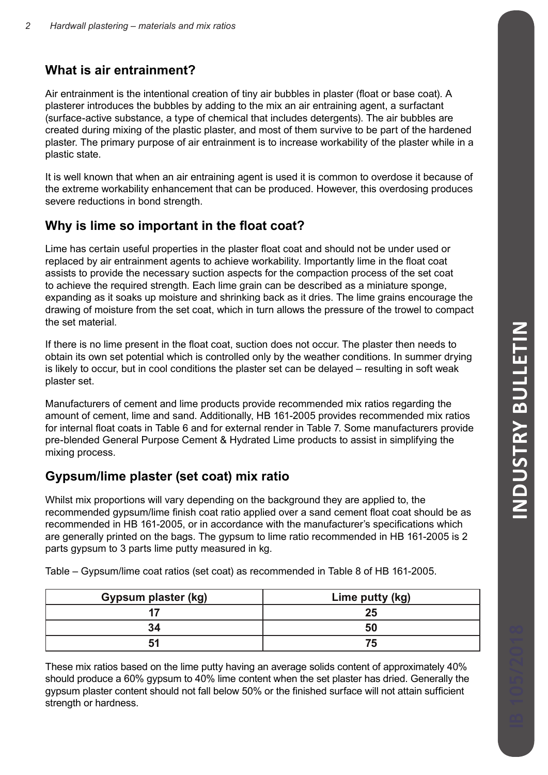## **What is air entrainment?**

Air entrainment is the intentional creation of tiny air bubbles in plaster (float or base coat). A plasterer introduces the bubbles by adding to the mix an air entraining agent, a surfactant (surface-active substance, a type of chemical that includes detergents). The air bubbles are created during mixing of the plastic plaster, and most of them survive to be part of the hardened plaster. The primary purpose of air entrainment is to increase workability of the plaster while in a plastic state.

It is well known that when an air entraining agent is used it is common to overdose it because of the extreme workability enhancement that can be produced. However, this overdosing produces severe reductions in bond strength.

# **Why is lime so important in the float coat?**

Lime has certain useful properties in the plaster float coat and should not be under used or replaced by air entrainment agents to achieve workability. Importantly lime in the float coat assists to provide the necessary suction aspects for the compaction process of the set coat to achieve the required strength. Each lime grain can be described as a miniature sponge, expanding as it soaks up moisture and shrinking back as it dries. The lime grains encourage the drawing of moisture from the set coat, which in turn allows the pressure of the trowel to compact the set material.

If there is no lime present in the float coat, suction does not occur. The plaster then needs to obtain its own set potential which is controlled only by the weather conditions. In summer drying is likely to occur, but in cool conditions the plaster set can be delayed – resulting in soft weak plaster set.

Manufacturers of cement and lime products provide recommended mix ratios regarding the amount of cement, lime and sand. Additionally, HB 161-2005 provides recommended mix ratios for internal float coats in Table 6 and for external render in Table 7. Some manufacturers provide pre-blended General Purpose Cement & Hydrated Lime products to assist in simplifying the mixing process.

# **Gypsum/lime plaster (set coat) mix ratio**

Whilst mix proportions will vary depending on the background they are applied to, the recommended gypsum/lime finish coat ratio applied over a sand cement float coat should be as recommended in HB 161-2005, or in accordance with the manufacturer's specifications which are generally printed on the bags. The gypsum to lime ratio recommended in HB 161-2005 is 2 parts gypsum to 3 parts lime putty measured in kg.

| <b>Gypsum plaster (kg)</b> | Lime putty (kg) |
|----------------------------|-----------------|
|                            | 25              |
| 34                         | 50              |
|                            |                 |

Table – Gypsum/lime coat ratios (set coat) as recommended in Table 8 of HB 161-2005.

These mix ratios based on the lime putty having an average solids content of approximately 40% should produce a 60% gypsum to 40% lime content when the set plaster has dried. Generally the gypsum plaster content should not fall below 50% or the finished surface will not attain sufficient strength or hardness.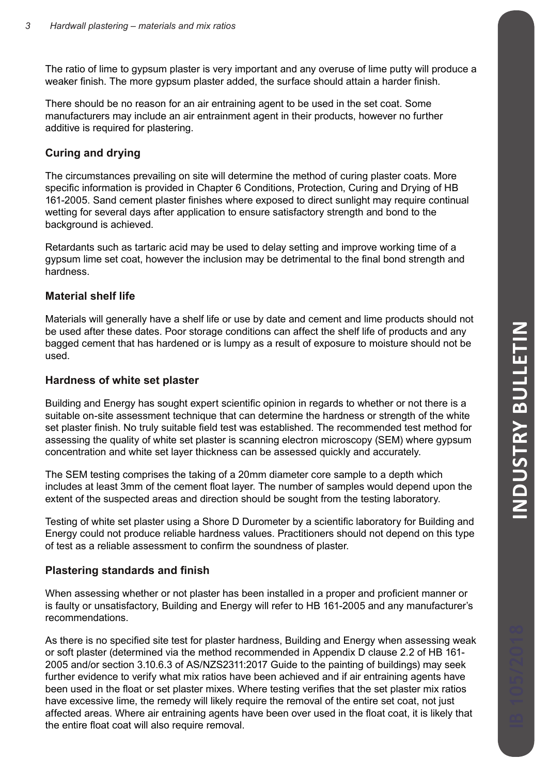The ratio of lime to gypsum plaster is very important and any overuse of lime putty will produce a weaker finish. The more gypsum plaster added, the surface should attain a harder finish.

There should be no reason for an air entraining agent to be used in the set coat. Some manufacturers may include an air entrainment agent in their products, however no further additive is required for plastering.

## **Curing and drying**

The circumstances prevailing on site will determine the method of curing plaster coats. More specific information is provided in Chapter 6 Conditions, Protection, Curing and Drying of HB 161-2005. Sand cement plaster finishes where exposed to direct sunlight may require continual wetting for several days after application to ensure satisfactory strength and bond to the background is achieved.

Retardants such as tartaric acid may be used to delay setting and improve working time of a gypsum lime set coat, however the inclusion may be detrimental to the final bond strength and hardness.

## **Material shelf life**

Materials will generally have a shelf life or use by date and cement and lime products should not be used after these dates. Poor storage conditions can affect the shelf life of products and any bagged cement that has hardened or is lumpy as a result of exposure to moisture should not be used.

#### **Hardness of white set plaster**

Building and Energy has sought expert scientific opinion in regards to whether or not there is a suitable on-site assessment technique that can determine the hardness or strength of the white set plaster finish. No truly suitable field test was established. The recommended test method for assessing the quality of white set plaster is scanning electron microscopy (SEM) where gypsum concentration and white set layer thickness can be assessed quickly and accurately.

The SEM testing comprises the taking of a 20mm diameter core sample to a depth which includes at least 3mm of the cement float layer. The number of samples would depend upon the extent of the suspected areas and direction should be sought from the testing laboratory.

Testing of white set plaster using a Shore D Durometer by a scientific laboratory for Building and Energy could not produce reliable hardness values. Practitioners should not depend on this type of test as a reliable assessment to confirm the soundness of plaster.

#### **Plastering standards and finish**

When assessing whether or not plaster has been installed in a proper and proficient manner or is faulty or unsatisfactory, Building and Energy will refer to HB 161-2005 and any manufacturer's recommendations.

As there is no specified site test for plaster hardness, Building and Energy when assessing weak or soft plaster (determined via the method recommended in Appendix D clause 2.2 of HB 161- 2005 and/or section 3.10.6.3 of AS/NZS2311:2017 Guide to the painting of buildings) may seek further evidence to verify what mix ratios have been achieved and if air entraining agents have been used in the float or set plaster mixes. Where testing verifies that the set plaster mix ratios have excessive lime, the remedy will likely require the removal of the entire set coat, not just affected areas. Where air entraining agents have been over used in the float coat, it is likely that the entire float coat will also require removal.